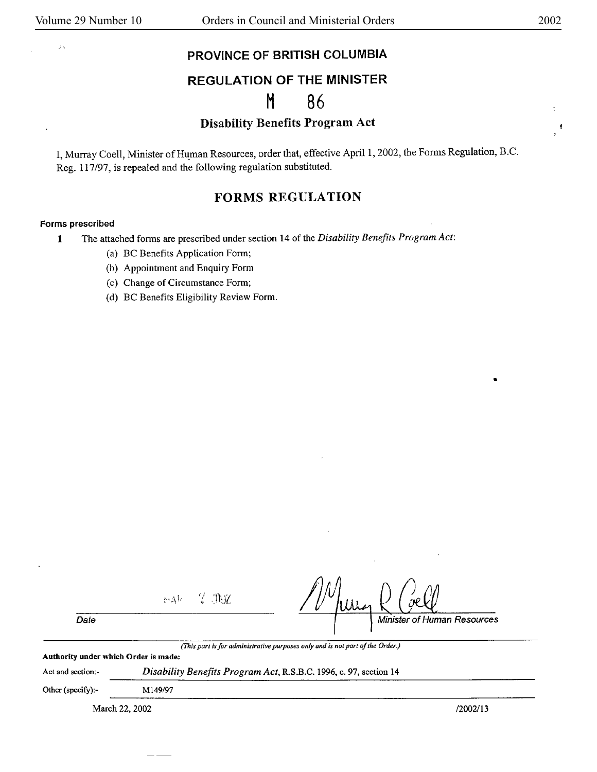.t•,

 $\ddot{\ddot{\phantom{}}\phantom{}}$  $\pmb{\mathfrak{k}}$ 

•

## **PROVINCE** OF **BRITISH COLUMBIA**

# **REGULATION** OF THE **MINISTER**

# M 86

## Disability Benefits Program Act

I, Murray Coell, Minister of Human Resources, order that, effective April 1, 2002, the Forms Regulation, B.C. Reg. 117 /97, is repealed and the following regulation substituted.

## **FORMS REGULATION**

#### **Forms prescribed**

**1** The attached forms are prescribed under section 14 of the *Disability Benefits Program Act:* 

- (a) BC Benefits Application Form;
- (b) Appointment and Enquiry Form
- (c) Change of Circumstance Form;
- (d) BC Benefits Eligibility Review Form.

|                                      | None V The     | nР                                                                            |
|--------------------------------------|----------------|-------------------------------------------------------------------------------|
| Date                                 |                | Minister of Human Resources                                                   |
| Authority under which Order is made: |                | (This part is for administrative purposes only and is not part of the Order.) |
| Act and section:-                    |                | Disability Benefits Program Act, R.S.B.C. 1996, c. 97, section 14             |
| Other (specify):-                    | M149/97        |                                                                               |
|                                      | March 22, 2002 | /2002/13                                                                      |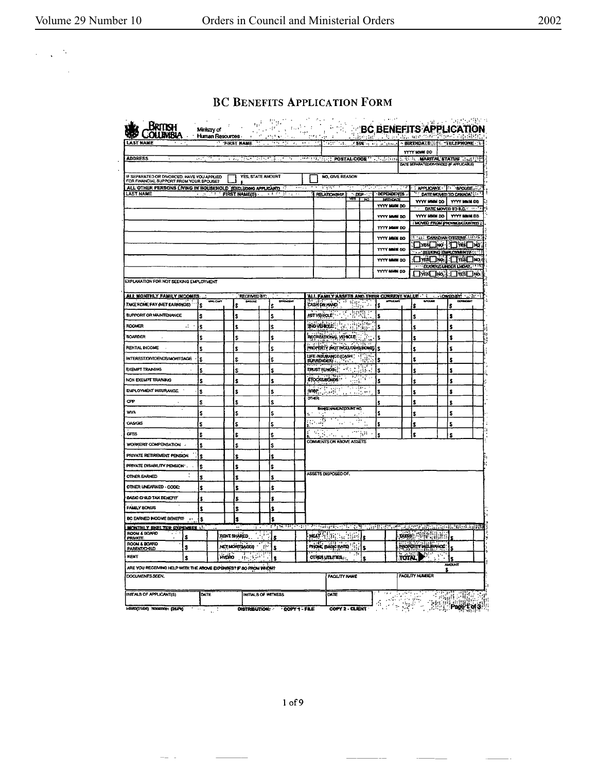$\frac{1}{2} \frac{1}{2} \frac{1}{2} \frac{1}{2} \frac{1}{2}$ 

l,

### **BC BENEFITS APPLICATION FORM**

| AST NAME                                                                              |               |              | <b>FIRST NAME</b>   |                   | समार<br>$\mathbf{r}$ |                      | 1977<br>7. . <u>. .</u>                                                                                                                                                                                                                                                                                                                                                                                                                         |                                   |        | <b>SIN</b> - 1 - 2 - 1 - 1 - 1 - 1 |       | <b>- BIRTHDATE</b>                                                     |    | <b>TELEPHONE</b>    |  |
|---------------------------------------------------------------------------------------|---------------|--------------|---------------------|-------------------|----------------------|----------------------|-------------------------------------------------------------------------------------------------------------------------------------------------------------------------------------------------------------------------------------------------------------------------------------------------------------------------------------------------------------------------------------------------------------------------------------------------|-----------------------------------|--------|------------------------------------|-------|------------------------------------------------------------------------|----|---------------------|--|
|                                                                                       |               |              |                     |                   |                      |                      |                                                                                                                                                                                                                                                                                                                                                                                                                                                 |                                   |        |                                    |       | <b>YYYY HOMM DD</b>                                                    |    |                     |  |
| <b>ADDRESS</b>                                                                        | د ده          | $\sim$ 2.12  | 1994 P              |                   | ਬਰਤ ਸ਼ਹਿਰ ਸ          |                      | THE PACIFIC POSTAL CODE " THE READ                                                                                                                                                                                                                                                                                                                                                                                                              |                                   |        |                                    |       | THE LAND TALK STATUS THE THE<br>DATE SEPARATED/DIVORGED (F APPLICABLE) |    |                     |  |
|                                                                                       |               |              |                     |                   |                      |                      |                                                                                                                                                                                                                                                                                                                                                                                                                                                 |                                   |        |                                    |       |                                                                        |    |                     |  |
| IF SEPARATED OR DIVORCED, HAVE YOU APPLIED<br>FOR FINANCIAL SUPPORT FROM YOUR SPOUSE? |               |              |                     | YES, STATE AMOUNT |                      |                      | <b>NO. GIVE REASON</b>                                                                                                                                                                                                                                                                                                                                                                                                                          |                                   |        |                                    |       |                                                                        |    |                     |  |
| ALL OTHER PERSONS LIVING IN HOUSEHOLD (EXCLUDING APPLICANT)<br><b>LAST NAME</b>       |               |              |                     | 5 I C             |                      |                      | V H<br><b>RELATIONSHIP</b>                                                                                                                                                                                                                                                                                                                                                                                                                      | $1.059 -$                         | an P   | 1. Af<br>DEPENDENTS                |       | <b>APPLICANT PROUSE</b>                                                |    |                     |  |
|                                                                                       | <u> 1957)</u> |              | FIRST NAME(S)       |                   |                      |                      |                                                                                                                                                                                                                                                                                                                                                                                                                                                 | ws                                | $\sim$ | <b>BRITHDATE</b>                   |       | " DATE MOVED TO CANADA"<br>YYYY MMM DD                                 |    | YYYY MMN DD         |  |
|                                                                                       |               |              |                     |                   |                      |                      |                                                                                                                                                                                                                                                                                                                                                                                                                                                 |                                   |        | YYYY MMM DD                        |       |                                                                        |    | DATE MOVED TO B.C.  |  |
|                                                                                       |               |              |                     |                   |                      |                      |                                                                                                                                                                                                                                                                                                                                                                                                                                                 |                                   |        | YYYY MMI DO                        |       | YYYY MMM DO                                                            |    | YYYY MAIN DD        |  |
|                                                                                       |               |              |                     |                   |                      |                      |                                                                                                                                                                                                                                                                                                                                                                                                                                                 |                                   |        | YYYY MAN 00                        |       | <b>INOVED FROM PROVINCE/COUNTRY</b>                                    |    |                     |  |
|                                                                                       |               |              |                     |                   |                      |                      |                                                                                                                                                                                                                                                                                                                                                                                                                                                 |                                   |        | YYYY MMM DD                        |       | <b>STAR CANADIAN CITIZEN / 127-15</b>                                  |    |                     |  |
|                                                                                       |               |              |                     |                   |                      |                      |                                                                                                                                                                                                                                                                                                                                                                                                                                                 |                                   |        | YYYY MMM 0D                        |       |                                                                        |    | }¤si⊟no l'⊟Yēs⊟ng   |  |
|                                                                                       |               |              |                     |                   |                      |                      |                                                                                                                                                                                                                                                                                                                                                                                                                                                 |                                   |        | YYYY MMM DD                        |       | 口道口を上口直口る                                                              |    | SEEKING EMPLOYMENT? |  |
|                                                                                       |               |              |                     |                   |                      |                      |                                                                                                                                                                                                                                                                                                                                                                                                                                                 |                                   |        | <b>YYYY MMM DD</b>                 |       | <b>THE ELIGIBLE LINDER LUDAY, TTPS</b>                                 |    |                     |  |
|                                                                                       |               |              |                     |                   |                      |                      |                                                                                                                                                                                                                                                                                                                                                                                                                                                 |                                   |        |                                    |       |                                                                        |    | <b>▁</b> ⋎⋍□⋓⋋∐₩□₩  |  |
| EXPLANATION FOR NOT SEEKING EMPLOYMENT                                                |               |              |                     |                   |                      |                      |                                                                                                                                                                                                                                                                                                                                                                                                                                                 |                                   |        |                                    |       |                                                                        |    |                     |  |
| ALL NONTHLY FAMILY INCOMES                                                            |               |              | <b>RECEIVED BY:</b> |                   |                      |                      | ALL FAMILY ASSETS AND THEIR CURRENT VALUE                                                                                                                                                                                                                                                                                                                                                                                                       |                                   |        |                                    |       |                                                                        |    | OWED BY: JE         |  |
| TAKE HOME PAY (NET EARNINGS)                                                          | \$            |              | <b>BPOULE</b><br>s  | Ś                 |                      |                      | <b>CASH ON HAND</b>                                                                                                                                                                                                                                                                                                                                                                                                                             | $\overline{B}$ and $\overline{B}$ | b.     | n.<br>\$                           |       | Ś                                                                      |    | ŝ                   |  |
| SUPPORT OR MAINTENANCE                                                                | s             |              | \$                  | Ś                 |                      |                      | 107 VENGLE                                                                                                                                                                                                                                                                                                                                                                                                                                      | 이 많던.                             | Ŧ      | \$                                 |       | s                                                                      |    | Ś                   |  |
| <b>ROOMER</b>                                                                         | 21. 1<br>s    |              | \$                  | Ŝ                 |                      |                      | 210 VEHICLE : 11 11 12 11 12                                                                                                                                                                                                                                                                                                                                                                                                                    |                                   |        | \$                                 |       | s                                                                      |    | ŝ                   |  |
| <b>BOARDER</b>                                                                        | Ś             |              | s                   | Ś                 |                      |                      | RECREATIONAL VEHICLE                                                                                                                                                                                                                                                                                                                                                                                                                            |                                   | 91     | s                                  |       | Ś                                                                      |    | \$                  |  |
| <b>RENTAL INCOME</b>                                                                  |               |              |                     |                   |                      |                      | PROPERTY MOTING UNIVERSIDING                                                                                                                                                                                                                                                                                                                                                                                                                    |                                   |        |                                    |       |                                                                        |    | Ś                   |  |
|                                                                                       | S             |              | s                   | Ś                 |                      |                      |                                                                                                                                                                                                                                                                                                                                                                                                                                                 |                                   |        | s                                  |       |                                                                        |    |                     |  |
| INTEREST/DIVIDENDS/MORTGAGE                                                           | \$            |              | \$                  | Ś                 |                      |                      | LIFE INSURANCE (CASH.)                                                                                                                                                                                                                                                                                                                                                                                                                          |                                   |        | \$                                 |       | \$                                                                     |    | \$                  |  |
| <b>EXEMPT TRAINING</b>                                                                | S             |              | s                   | \$                |                      |                      | $\frac{1}{2} \left( \frac{1}{2} \right)^2 + \frac{1}{2} \left( \frac{1}{2} \right)^2 + \frac{1}{2} \left( \frac{1}{2} \right)^2 + \frac{1}{2} \left( \frac{1}{2} \right)^2 + \frac{1}{2} \left( \frac{1}{2} \right)^2 + \frac{1}{2} \left( \frac{1}{2} \right)^2 + \frac{1}{2} \left( \frac{1}{2} \right)^2 + \frac{1}{2} \left( \frac{1}{2} \right)^2 + \frac{1}{2} \left( \frac{1}{2} \right)^2 + \frac{1}{2} \left( \frac{1}{2} \right)^2 +$ |                                   | $\sim$ | Ś                                  |       | s                                                                      |    | s                   |  |
| NON EXEMPT TRAINING                                                                   | \$            |              | \$                  | Ś                 |                      |                      | <b>STOCKSHOULDS</b>                                                                                                                                                                                                                                                                                                                                                                                                                             | mP                                | ۰,     | \$                                 |       |                                                                        |    | Ś                   |  |
| EMPLOYMENT INSURANCE.                                                                 | s             |              | Ŝ                   | Ś                 |                      | <b>READE</b>         |                                                                                                                                                                                                                                                                                                                                                                                                                                                 | a de april.<br>Al californi       |        | ŝ                                  |       | \$                                                                     |    | S                   |  |
| CPP                                                                                   | \$            |              | ¢                   | Ś                 |                      | $rac{1}{\text{OPT}}$ |                                                                                                                                                                                                                                                                                                                                                                                                                                                 |                                   |        | s                                  |       | ¢                                                                      |    | \$                  |  |
| <b>WVA</b>                                                                            | \$            |              | s                   | s                 |                      |                      | <b>BANKS HAKE/ADDOUNT HO.</b>                                                                                                                                                                                                                                                                                                                                                                                                                   |                                   |        | s                                  |       | \$                                                                     |    | \$                  |  |
| OASIGIS                                                                               | s             |              | Ś                   | \$                |                      | ្ណុង                 |                                                                                                                                                                                                                                                                                                                                                                                                                                                 | ÷<br>ومنتجع                       |        | 5                                  |       | Ś                                                                      |    | \$                  |  |
| cess                                                                                  | \$            |              | Ŝ                   | Ś                 |                      |                      | <b>化学区</b>                                                                                                                                                                                                                                                                                                                                                                                                                                      | myn                               |        | Ś                                  |       | Ŝ                                                                      |    | Ś                   |  |
| WORKERS COMPENSATION .                                                                | \$            |              | \$                  | \$                |                      |                      | <b>COMMENTS ON ABOVE ASSETS</b>                                                                                                                                                                                                                                                                                                                                                                                                                 |                                   |        |                                    |       |                                                                        |    |                     |  |
| PRIVATE RETIREMENT PENSION                                                            | Ŝ             |              | ¢                   | ¢                 |                      |                      |                                                                                                                                                                                                                                                                                                                                                                                                                                                 |                                   |        |                                    |       |                                                                        |    |                     |  |
| PRIVATE DISABILITY PENSION'.                                                          |               |              |                     | Ś                 |                      |                      |                                                                                                                                                                                                                                                                                                                                                                                                                                                 |                                   |        |                                    |       |                                                                        |    |                     |  |
| <b>OTHER EARNED</b>                                                                   | \$            |              | \$                  |                   |                      |                      | ASSET'S DISPOSED OF.                                                                                                                                                                                                                                                                                                                                                                                                                            |                                   |        |                                    |       |                                                                        |    |                     |  |
|                                                                                       | s             |              | 1                   | Ś                 |                      |                      |                                                                                                                                                                                                                                                                                                                                                                                                                                                 |                                   |        |                                    |       |                                                                        |    |                     |  |
| OTHER UNEARNED - CODE:                                                                | Ś             |              | Ś                   | Ŝ                 |                      |                      |                                                                                                                                                                                                                                                                                                                                                                                                                                                 |                                   |        |                                    |       |                                                                        |    |                     |  |
| BASIC CHILD TAX BENEFIT                                                               | ŝ             |              | \$                  | s                 |                      |                      |                                                                                                                                                                                                                                                                                                                                                                                                                                                 |                                   |        |                                    |       |                                                                        |    |                     |  |
| <b>FAMILY BONUS</b>                                                                   |               |              | s                   | ŝ                 |                      |                      |                                                                                                                                                                                                                                                                                                                                                                                                                                                 |                                   |        |                                    |       |                                                                        |    |                     |  |
| BC EARNED INCOME BENEFIT-                                                             | \$.           |              | Ś                   | s                 |                      |                      |                                                                                                                                                                                                                                                                                                                                                                                                                                                 |                                   |        |                                    |       |                                                                        |    |                     |  |
| <u>Monthly shelter expenses of</u><br>ROOM & BOARD                                    |               |              |                     | متقل              | تحتسسها              |                      |                                                                                                                                                                                                                                                                                                                                                                                                                                                 |                                   |        | a Por                              |       |                                                                        |    | Wandi Russia        |  |
| PRIVATE<br><b>ROOM &amp; BOARD</b>                                                    | \$            |              | RENT SI URED        |                   |                      |                      | <b>JEATHERENE</b>                                                                                                                                                                                                                                                                                                                                                                                                                               | tiri                              |        |                                    |       | <b>MARK SOFTEN BEE</b>                                                 |    |                     |  |
| <b>PARENT/CHILD</b>                                                                   | \$            |              | NETMORTRAGES        | Ŝ                 |                      |                      | <b>PIONE @ASIC RATE)</b>                                                                                                                                                                                                                                                                                                                                                                                                                        |                                   |        |                                    |       | PEOPERTY WELFANCE                                                      |    |                     |  |
| RENT                                                                                  | \$            | <b>HYDRO</b> | الموازينها          |                   |                      |                      | orien um mes.                                                                                                                                                                                                                                                                                                                                                                                                                                   |                                   |        |                                    | TOTAL |                                                                        | ۰. | s                   |  |
| ARE YOU RECEIVING HELP WITH THE ABOVE EXPENSES? IF SO FROM WHOM?                      |               |              |                     |                   |                      |                      |                                                                                                                                                                                                                                                                                                                                                                                                                                                 |                                   |        |                                    |       |                                                                        |    | <b>AMOUNT</b>       |  |
| DOCUMENTS SEEN.                                                                       |               |              |                     |                   |                      |                      | <b>FACILITY NAME</b>                                                                                                                                                                                                                                                                                                                                                                                                                            |                                   |        |                                    |       | <b>FACUTY NUMBER</b>                                                   |    |                     |  |
|                                                                                       |               |              |                     |                   |                      |                      |                                                                                                                                                                                                                                                                                                                                                                                                                                                 |                                   |        |                                    |       |                                                                        |    |                     |  |

 $\overline{\phantom{a}}$ 

 $\sim$ 

 $\qquad \qquad$ 

 $\overline{\phantom{a}}$ 

 $\sim$ 

 $\overline{\phantom{a}}$ 

 $\frac{1}{2} \frac{1}{2} \frac{1}{2}$ 

 $\overline{\phantom{0}}$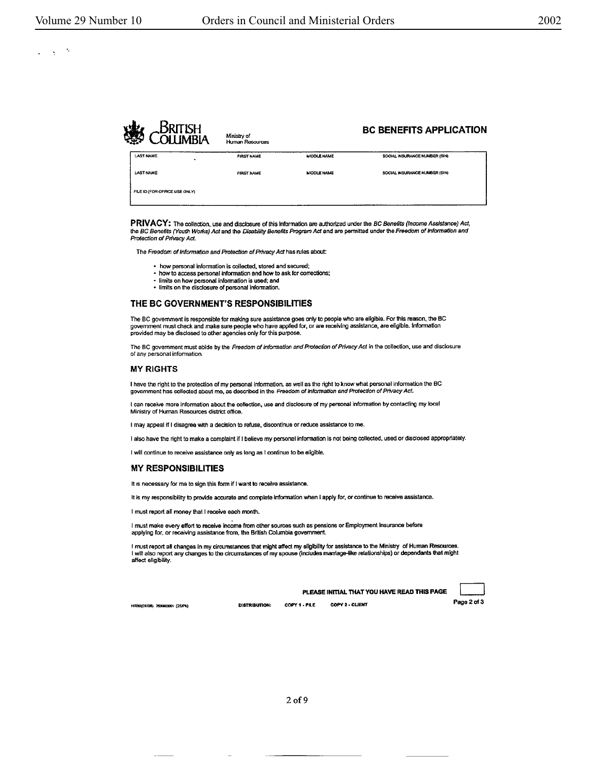#### $\mathcal{A}_i$  $\mathbb{R}^2$

|                               | JSH<br>NI IMRIA | Ministry of<br>Human Resources |                    | <b>BC BENEFITS APPLICATION</b> |  |
|-------------------------------|-----------------|--------------------------------|--------------------|--------------------------------|--|
| <b>LAST NAME</b>              | ٠               | <b>FIRST NAME</b>              | <b>MIDDLE NAME</b> | SOCIAL INSURANCE NUMBER (SIN)  |  |
| <b>LAST NAME</b>              |                 | <b>FIRST NAME</b>              | MIDDLE NAME        | SOCIAL INSURANCE NUMBER (SIN)  |  |
| FILE ID (FOR OFFICE USE ONLY) |                 |                                |                    |                                |  |

PRIVACY: The collection, use and disclosure of this Information are authorized under the BC Benefits (Income Assistance) Act, the BC Benefits (Youth Works) Act and the Disability Benefits Program Act and are permitted under the Freedom of Information and Protection of Privacy Act.

The Freedom of Information and Protection of Privacy Act has rules about:

- how personal Information is collected, stored and secured;
- how to access personal information and how to ask for corrections;
- limits on how pecsonal information is used; **and**  • limits on the disclosure of personal information.

#### **THE BC GOVERNMENT'S RESPONSIBILITIES**

The BC govemment is responsible for making sure assistance goes only to people who are eligible. For this reason, the BC<br>government must check and make sure people who have applied for, or are receiving assistance, are eli

The BC government must abide by the Freedom of Information and Protection of Privacy Act in the collection, use and disclosure of any personal information.

#### **MY RIGHTS**

I have tne right lo the protection of my personal Information, as well as the right lo know what personal information the BC government has collected about me, as described in the Freedom of Information and Protection of Privacy Act.

I can receive more information about the collection, use and disclosure of my personal information by contacting my local Ministry of Human Resources district office.

I may appeal if I disagree with a decision to refuse, discontinue or reduce assistance to me.

I also have the right to make a complaint if I believe my personal information is not being collected, used or disclosed appropriately.

I will continue to receive assistance only as long as I continue to be eligible.

#### **MY RESPONSIBILITIES**

It is necessary for me to sign this form if I want to receive assistance.

It is my responsibility to provide accurate and complete information when I apply for, or continue to receive assistance.

I must report all money that I receive each month.

I must make every effort to receive income from other sources such as pensions or Employment Insurance before applying for, or receiving assistance from, the British Columbia government.

I must report all changes in my circumstances that might affect my eligibility for assistance to the Ministry of Human Resources. I will also report any changes to the circumstances of my spouse (Includes marriage-like relationships) or dependants that might affect eligibility.

|                         |               |               | PLEASE INITIAL THAT YOU HAVE READ THIS PAGE |             |
|-------------------------|---------------|---------------|---------------------------------------------|-------------|
| 01/04) 750000061 (25FW) | DISTRIBUTION: | COPY 1 - FILE | <b>COPY 2 - CLIENT</b>                      | Page 2 of 3 |

HR80(01/06) 7530903051 (25/Pk)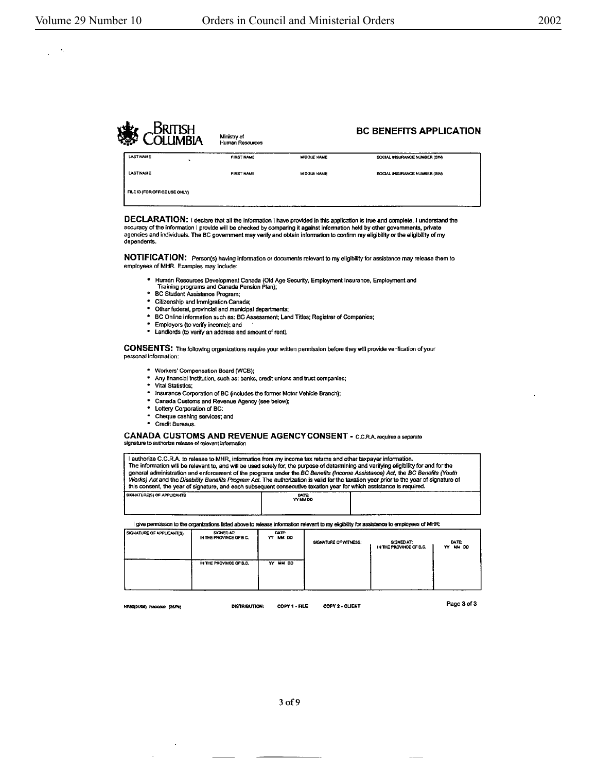$\mathbf{r}_i$  $\mathbb{R}^2$ 



DECLARATION: I declare that all the information I have provided in this application is true and complete. I understand the accuracy of the information I provide will be checked by comparing it against information held by other governments, private<br>against information held by other governments, private<br>agencies and individuals. The BC governmen dependents.

NOTIFICATION: Person(s) having information or documents relevant to my eligibility for assistance may release them to employees of MHR. Examples may include:

- Human Resources Development Canada (Old Age Security, Employment Insurance, Employment and<br>Training programs and Canada Pension Plan);
- · BC Student Assistance Program;
- Citizenship and Immigration Canada;  $\bullet$
- \* Other federal, provincial and municipal departments;
- BC Online information such as: BC Assessment; Land Titles; Registrar of Companies;
- $\bullet$ Employers (to verify income); and
- . Landlords (to verify an address and amount of rent).

CONSENTS: The following organizations require your written permission before they will provide verification of your personal information:

- \* Workers' Compensation Board (WCB);
- \* Any financial institution, such as: banks, credit unions and trust companies;
- · Vital Statistics;
- . Insurance Corporation of BC (includes the former Motor Vehicle Branch);
- · Canada Customs and Revenue Agency (see below);  $\bullet$
- Lottery Corporation of BC:
- Cheque cashing services; and
- · Credit Bureaus.

CANADA CUSTOMS AND REVENUE AGENCY CONSENT - C.C.R.A. requires a separate signature to authorize release of relevant information

 $\sim$ 

| authorize C.C.R.A, to release to MHR, information from my income tax returns and other taxpayer information.<br>The information will be relevant to, and will be used solely for, the purpose of determining and verifying eligibility for and for the<br>general administration and enforcement of the programs under the BC Benefits (Income Assistance) Act, the BC Benefits (Youth |  |  |  |  |  |  |  |  |  |
|----------------------------------------------------------------------------------------------------------------------------------------------------------------------------------------------------------------------------------------------------------------------------------------------------------------------------------------------------------------------------------------|--|--|--|--|--|--|--|--|--|
| Works) Act and the Disability Benefits Program Act. The authorization is valid for the taxation year prior to the year of signature of<br>this consent, the year of signature, and each subsequent consecutive taxation year for which assistance is required.                                                                                                                         |  |  |  |  |  |  |  |  |  |
| SIGNATURE(S) OF APPLICANTS<br><b>DATE</b><br>YY MM DD                                                                                                                                                                                                                                                                                                                                  |  |  |  |  |  |  |  |  |  |

I give permission to the organizations listed above to release information relevant to my eligibility for assistance to employees of MHR:

| <b>SIGNATURE OF APPLICANT(S).</b> | SIGNED AT:<br>IN THE PROVINCE OF B C. | DATE:<br>YY MM DD | SIGNATURE OF WITNESS: | SIGNED AT:<br>IN THE PROVINCE OF B.C. | DATE:<br>MM DD<br>YY. |
|-----------------------------------|---------------------------------------|-------------------|-----------------------|---------------------------------------|-----------------------|
|                                   | IN THE PROVINCE OF B.C.               | YY MM DD          |                       |                                       |                       |

HR80(01/08) 7830903051 (25/Pk)

**DISTRIBUTION:** 

COPY 1 - FILE COPY 2 - CLIENT Page 3 of 3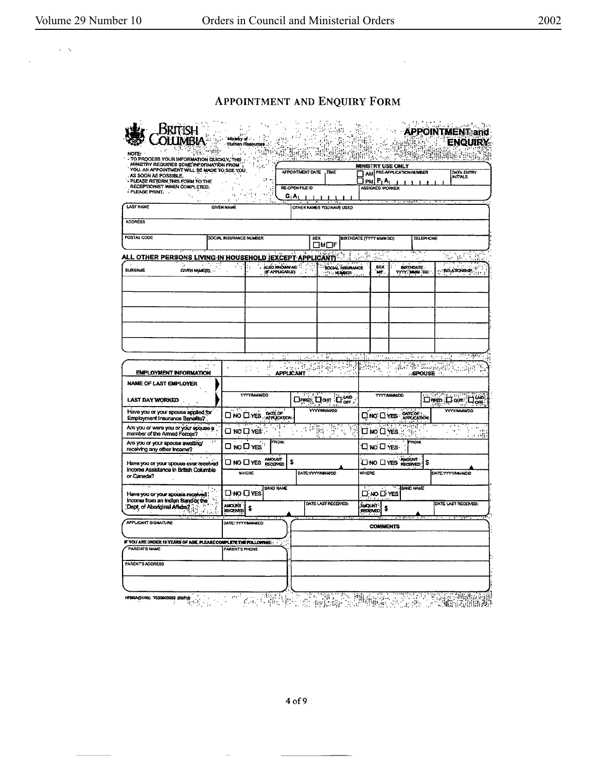$\sim 10^{-1}$   $\rm g$ 

 $\sim$ 

## APPOINTMENT AND ENQUIRY FORM

 $\mathcal{L}^{\mathcal{L}}$ 

| <b>O PROCESS YOUR INFORMATION QUICKLY, THE</b>                                                                    | 马克                            |                         |                                            |                                | 撫 牛間<br>睡眠的 异                                         |                                               |                                |
|-------------------------------------------------------------------------------------------------------------------|-------------------------------|-------------------------|--------------------------------------------|--------------------------------|-------------------------------------------------------|-----------------------------------------------|--------------------------------|
| MINISTRY REQUIRES SOME INFORMATION FROM<br>YOU. AN APPOINTMENT WILL BE MADE TO SEE YOU.                           |                               | <b>APPOINTMENT DATE</b> | TIME                                       |                                | <b>MUNISTRY USE ONLY</b><br>AM PRE-APPLICATION NUMBER |                                               | DATA ENTRY                     |
| AS SOON AS POSSIBLE.<br>- PLEASE RETURN THIS FORM TO THE                                                          |                               |                         |                                            | O PM P1A                       |                                                       |                                               | <b>INITIALS</b>                |
| RECEPTIONIST WHEN COMPLETED.<br>- PLEASE PRINT.                                                                   | 3<br>٠,                       | <b>RE-OPEN FILE ID</b>  |                                            |                                | ASSIGNED WORKER                                       |                                               |                                |
|                                                                                                                   |                               | G Ar                    |                                            |                                | <b>The Company of Several Property</b>                |                                               |                                |
| <b>LAST NAME</b>                                                                                                  | <b>GIVEN NAME</b>             |                         | OTHER NAMES YOU HAVE USED                  |                                |                                                       |                                               |                                |
| <b>ADDRESS</b>                                                                                                    |                               |                         |                                            |                                |                                                       |                                               |                                |
| POSTAL CODE                                                                                                       | SOCIAL INSURANCE NUMBER       |                         | SEX                                        | <b>BIRTHDATE (YYYY MMM DO)</b> |                                                       | <b>TELEPHONE</b>                              |                                |
|                                                                                                                   |                               |                         | פרים                                       |                                |                                                       |                                               |                                |
| ALL OTHER PERSONS LIVING IN HOUSEHOLD (EXCEPT APPLICANT)                                                          |                               |                         |                                            | 42                             | Pitusi                                                |                                               |                                |
| <b>SURNAME</b><br>GIVEN MANE(S)                                                                                   | ALBO JONOWN AG <sup>15</sup>  |                         | <b>SOCIAL INSURANCE</b>                    |                                | SEX.                                                  | BIRTHDATE:                                    | <b>REATONSHP</b>               |
|                                                                                                                   |                               |                         | <b>MALLER</b>                              |                                | MF.                                                   | YYYYS MANA DD.                                |                                |
|                                                                                                                   |                               |                         |                                            |                                |                                                       |                                               |                                |
|                                                                                                                   |                               |                         |                                            |                                |                                                       |                                               |                                |
|                                                                                                                   |                               |                         |                                            |                                |                                                       |                                               |                                |
|                                                                                                                   |                               |                         |                                            |                                |                                                       |                                               |                                |
|                                                                                                                   |                               |                         |                                            |                                |                                                       |                                               |                                |
|                                                                                                                   |                               |                         |                                            |                                |                                                       |                                               |                                |
|                                                                                                                   |                               |                         |                                            |                                |                                                       |                                               |                                |
|                                                                                                                   |                               |                         |                                            |                                |                                                       |                                               |                                |
|                                                                                                                   |                               |                         |                                            |                                |                                                       |                                               |                                |
|                                                                                                                   |                               |                         |                                            |                                |                                                       |                                               |                                |
|                                                                                                                   |                               |                         |                                            |                                |                                                       |                                               |                                |
|                                                                                                                   |                               | والأورو                 | Ŧβ                                         | $\sim 1000$                    | $\alpha$ .                                            | جواعد بكاترين                                 | aganyi.<br>$1 - 1$             |
|                                                                                                                   | έt.                           |                         | 문의                                         | $\Omega_{\rm{min}}$            |                                                       | $\frac{1}{2}$ , $\frac{1}{2}$ , $\frac{1}{2}$ |                                |
| <b>EMPLOYMENT INFORMATION</b>                                                                                     |                               | applicant               |                                            |                                | $\sqrt{3\sqrt{2}}$<br>п.                              | <b>SPOUSE</b>                                 |                                |
|                                                                                                                   |                               |                         |                                            |                                |                                                       |                                               |                                |
|                                                                                                                   |                               |                         |                                            |                                |                                                       |                                               | $\zeta_2$ an yay               |
|                                                                                                                   | <b>YYYY/MMM/DD</b>            |                         | Dres Don Don                               |                                | <b>YYY/MMM/DD</b>                                     |                                               | 1.11722                        |
|                                                                                                                   |                               |                         | <b>YYYY/MMMOD</b>                          |                                |                                                       |                                               | பக் படி பக<br><b>YYYYMMMDD</b> |
|                                                                                                                   | <b>O</b> NO O YES APPLICATION |                         |                                            |                                | DINO DYES APPLICATION                                 |                                               |                                |
| NAME OF LAST EMPLOYER<br>LAST DAY WORKED<br>Have you or your spouse applied for<br>Employment Insurance Benefits? |                               |                         |                                            |                                |                                                       |                                               |                                |
| Are you or were you or your spouse a<br>÷.                                                                        | $\square$ NO $\square$ YES.   |                         | $\overline{\mathcal{F}_{\mathcal{W}}^{k}}$ |                                | <b>LINO LITES</b><br>$\mathcal{D}_{\mathcal{U}_1^2}$  |                                               | $\ldots$                       |
| Are you or your spouse awaiting/<br>receiving any other income?                                                   | <b>FROM:</b><br>□ № □ ⋎⋷ѕ`    |                         |                                            |                                | <b>ONO UYES</b>                                       | <b>FROM:</b>                                  |                                |
|                                                                                                                   | <b>AMOUNT</b>                 | S                       |                                            |                                |                                                       |                                               |                                |
|                                                                                                                   | <b>OND DYES RECEIVED</b>      |                         |                                            |                                | ONO DYES NACUM                                        | \$                                            |                                |
|                                                                                                                   | WHERE                         |                         | DATE:YYYY/MINIMOO                          | WHERE                          |                                                       |                                               | DATE YYYYAWANDO                |
| Have you or your spouse ever received<br>Income Assistance in British Columbia<br>or Canada?                      | <b>BAND NAME</b>              |                         |                                            |                                | <b>BAND NAME</b>                                      |                                               |                                |
| Have you or your spouse received                                                                                  | $\square$ no $\square$ yes    |                         |                                            |                                | ΠώοΠνεέ                                               |                                               |                                |
| income from an Indian Band or the                                                                                 | S                             |                         | DATE LAST RECEIVED:                        | <b>Alexan</b>                  | \$                                                    |                                               | DATE LAST RECEIVED:            |
| Dept. of Aboriginal Affairs $2\beta$<br>$\mathcal{A}$ )                                                           | AMOUNT                        |                         |                                            | <b>RECENED</b>                 |                                                       |                                               |                                |
|                                                                                                                   | DATE: YYYYMMINOD              |                         |                                            |                                |                                                       |                                               |                                |
|                                                                                                                   |                               |                         |                                            |                                | <b>COMMENTS</b>                                       |                                               |                                |
| <b>APPLICANT SIGNATURE</b>                                                                                        |                               |                         |                                            |                                |                                                       |                                               |                                |
|                                                                                                                   | PARENT'S PHONE                |                         |                                            |                                |                                                       |                                               |                                |
|                                                                                                                   |                               |                         |                                            |                                |                                                       |                                               |                                |
| IF YOU ARE UNDER 19 YEARS OF AGE, PLEASE COMPLETE THE FOLLOWING:<br><b>PARENT'S NAME</b><br>PARENTS ADDRESS       |                               |                         |                                            |                                |                                                       |                                               |                                |

 $4 of 9$ 

 $\equiv$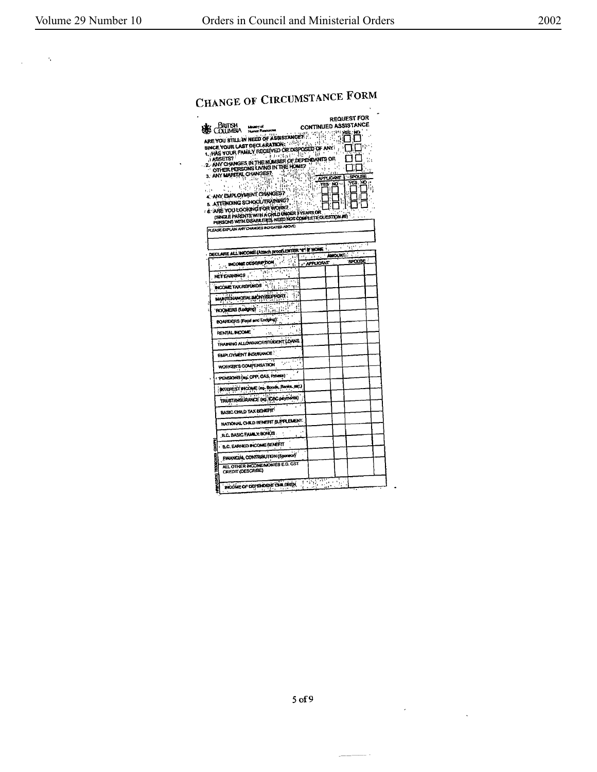$\sim 10^4$  $\mathcal{A}^{\mathcal{A}}$ 

# CHANGE OF CIRCUMSTANCE FORM

 $\hat{\mathbf{v}}$ 

| Вклян<br><b>Linkty of</b><br><b>OLLIMBIA</b><br><b>Human Roocu</b><br>ARE YOU STILL IN NEED OF ASSISTANCE AND THE YOU STILL IN NEED OF ASSISTANCE AND<br>SINCE YOUR LAST DECLARATION: WAS A LOST<br>SINCE TO UP FAMILY RECEIVED OR DISPOSED OF ANY<br>2. ANY CHANGES IN THE NUMBER OF DEPENDANTS OR<br>OTHER PERSONS LIVING IN THE HOME?<br>3. ANY MARITAL CHANGES?<br>ίB.<br>都<br>S iliyo a<br>Vа<br>ţ.<br>εģγ<br>4. ANY EMPLOYMENT CHANGES?<br>5. ATTENDING SCHOOL/TRAINING?<br>& ARE YOU LOOKING FOR WORK?<br>(SINGLE PARENTS WITH A CHILD UNDER SYEARS OR<br>PERSONS WITH DISABLITES, NEED NOT COMPLETE QUESTION AD<br>PLEASE EXPLAIN ANY CHANGES INDICATED ABOVE | 을 하는<br>$\epsilon$<br>$\mathcal{L}_{\text{eff}}$ | <b>CONTINUED ASSISTANCE</b><br>$\Omega_{\rm{c}}$<br>Y<br>÷.<br>$\mathcal{H}_{\mathcal{G}}$ | <b>APLICANT</b><br>$\frac{1}{\sqrt{168 \cdot 100}}$ | <b>REQUEST FOR</b><br>эЮ<br>- st<br>۰.<br>Ÿ.<br>$\overline{a}$ | nu 19        |
|-----------------------------------------------------------------------------------------------------------------------------------------------------------------------------------------------------------------------------------------------------------------------------------------------------------------------------------------------------------------------------------------------------------------------------------------------------------------------------------------------------------------------------------------------------------------------------------------------------------------------------------------------------------------------|--------------------------------------------------|--------------------------------------------------------------------------------------------|-----------------------------------------------------|----------------------------------------------------------------|--------------|
|                                                                                                                                                                                                                                                                                                                                                                                                                                                                                                                                                                                                                                                                       |                                                  |                                                                                            |                                                     | nger af                                                        |              |
| DECLARE ALL INCOME (Attach proof) ENTER "0" IF NONE                                                                                                                                                                                                                                                                                                                                                                                                                                                                                                                                                                                                                   |                                                  |                                                                                            |                                                     | AMOUNT :                                                       | $\mathbf{r}$ |
| <b>ENCORE DESCRIPTION AND STATE</b>                                                                                                                                                                                                                                                                                                                                                                                                                                                                                                                                                                                                                                   | 514.<br>t-i                                      | <b>APPLICANT</b>                                                                           |                                                     | SPOUSE                                                         |              |
| فجره والمنا                                                                                                                                                                                                                                                                                                                                                                                                                                                                                                                                                                                                                                                           |                                                  |                                                                                            |                                                     |                                                                |              |
| NETEABATHGS                                                                                                                                                                                                                                                                                                                                                                                                                                                                                                                                                                                                                                                           |                                                  |                                                                                            |                                                     |                                                                |              |
| INCOME TAX REPUNDS FOR                                                                                                                                                                                                                                                                                                                                                                                                                                                                                                                                                                                                                                                |                                                  |                                                                                            |                                                     |                                                                |              |
| MARTELIANCEIAL MONTGUPFORT                                                                                                                                                                                                                                                                                                                                                                                                                                                                                                                                                                                                                                            | ç,                                               |                                                                                            |                                                     |                                                                |              |
|                                                                                                                                                                                                                                                                                                                                                                                                                                                                                                                                                                                                                                                                       |                                                  |                                                                                            |                                                     |                                                                |              |
| "ROOMERS (Lodgical") : (3)                                                                                                                                                                                                                                                                                                                                                                                                                                                                                                                                                                                                                                            |                                                  |                                                                                            |                                                     |                                                                |              |
| BOARDERS (Food and Lodging):                                                                                                                                                                                                                                                                                                                                                                                                                                                                                                                                                                                                                                          |                                                  |                                                                                            |                                                     |                                                                |              |
| <b>RENTAL INCOME</b>                                                                                                                                                                                                                                                                                                                                                                                                                                                                                                                                                                                                                                                  |                                                  |                                                                                            |                                                     |                                                                |              |
| TRAINING ALLOWANCE/STUDENT LOANS                                                                                                                                                                                                                                                                                                                                                                                                                                                                                                                                                                                                                                      |                                                  |                                                                                            |                                                     |                                                                |              |
| <b>EMPLOYMENT INSURANCE!</b>                                                                                                                                                                                                                                                                                                                                                                                                                                                                                                                                                                                                                                          |                                                  |                                                                                            |                                                     |                                                                |              |
| WORKER'S COMPENSATION                                                                                                                                                                                                                                                                                                                                                                                                                                                                                                                                                                                                                                                 |                                                  |                                                                                            |                                                     |                                                                |              |
| r PENSIONS (eg. CPP, OAS, Private)                                                                                                                                                                                                                                                                                                                                                                                                                                                                                                                                                                                                                                    |                                                  |                                                                                            |                                                     |                                                                |              |
| INTEREST INCOME (ag. Bonds, Banks, MC)                                                                                                                                                                                                                                                                                                                                                                                                                                                                                                                                                                                                                                |                                                  |                                                                                            |                                                     |                                                                |              |
| TRUSTANS IRANCE (ed. ICBC payments)                                                                                                                                                                                                                                                                                                                                                                                                                                                                                                                                                                                                                                   |                                                  |                                                                                            |                                                     |                                                                |              |
| BASIC CHILD TAX BENEFIT                                                                                                                                                                                                                                                                                                                                                                                                                                                                                                                                                                                                                                               |                                                  |                                                                                            |                                                     |                                                                |              |
| NATIONAL CHILD BENEFIT SUPPLEMENT.                                                                                                                                                                                                                                                                                                                                                                                                                                                                                                                                                                                                                                    |                                                  |                                                                                            |                                                     |                                                                |              |
| B.C. BASIC FAMILY BONUS                                                                                                                                                                                                                                                                                                                                                                                                                                                                                                                                                                                                                                               |                                                  |                                                                                            |                                                     |                                                                |              |
| <b>A.C. EARINED INCOME BENEFIT</b>                                                                                                                                                                                                                                                                                                                                                                                                                                                                                                                                                                                                                                    |                                                  |                                                                                            |                                                     |                                                                |              |
| FINANCIAL CONTRIBUTION (Sponsor)                                                                                                                                                                                                                                                                                                                                                                                                                                                                                                                                                                                                                                      |                                                  |                                                                                            |                                                     |                                                                |              |
| i<br>S<br>ALL OTHER INCOME/MONIES E.G. GST<br>CREDIT (DESCRIBE)                                                                                                                                                                                                                                                                                                                                                                                                                                                                                                                                                                                                       |                                                  |                                                                                            |                                                     |                                                                |              |
| INCOME OF DEPENDENT CHILDREN.                                                                                                                                                                                                                                                                                                                                                                                                                                                                                                                                                                                                                                         |                                                  | 77ء<br>स्किर्                                                                              | tin sin<br>د ان                                     |                                                                |              |

 $\ddot{\phantom{a}}$ 

 $\mathbb{R}^3$ 

 $\overline{a}$ 

 $---$ 

 $\sim$   $\sim$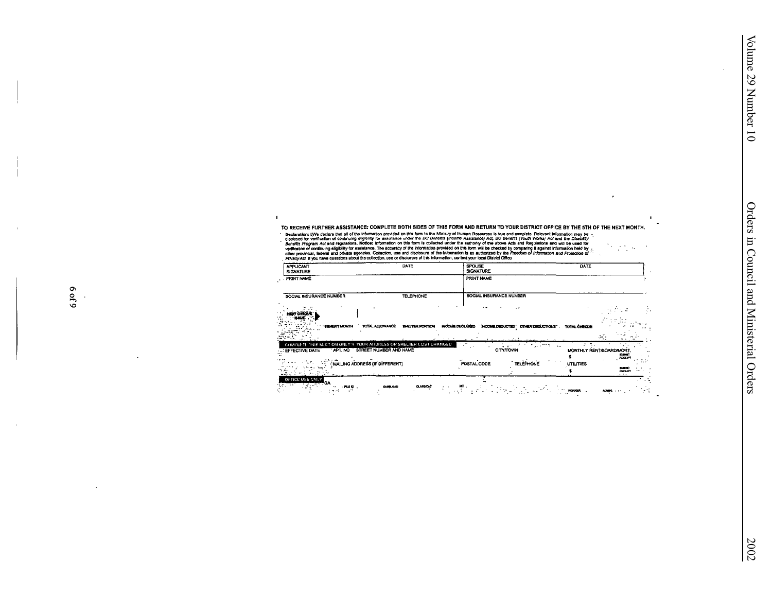$\mathbb{Z}^{\mathcal{A}}$  ,  $\alpha$  $\bar{z}$ 

TO RECEIVE FURTHER ASSISTANCE: COMPLETE BOTH SIDES OF THIS FORM AND RETURN TO YOUR DISTRICT OFFICE BY THE 5TH OF THE NEXT MONTH.

TO RECEIVE FURCH RESISSION INTO THE RESULTED THIS CONFIDENT INTO THE CHARGE THE CONFIDENTIAL CONFIDENCIAL INTEREST THE STATE OF THE STATE OF THE STATE OF THE STATE OF THE STATE OF THE STATE OF THE STATE OF THE STATE OF THE  $\gamma_{\rm{in}}$ 

 $\mathbf{I}$ 

| <b>APPLICANT</b><br><b>SIGNATURE</b>                                                                                            | DATE                            | <b>SPOUSE</b><br><b>SIGNATURE</b>                      | DATE                                   |                                                                     |
|---------------------------------------------------------------------------------------------------------------------------------|---------------------------------|--------------------------------------------------------|----------------------------------------|---------------------------------------------------------------------|
| PRINT NAME                                                                                                                      |                                 | PRINT NAME                                             |                                        |                                                                     |
| SOCIAL INSURANCE NUMBER                                                                                                         | <b>TELEPHONE</b>                | SOCIAL INSURANCE NUMBER                                |                                        |                                                                     |
|                                                                                                                                 |                                 |                                                        |                                        |                                                                     |
| <b>BEINEFIT MONTH</b>                                                                                                           | TOTAL ALLOWANCE BHELTER PORTION | INOCAME DECLARED " INCOME DEDUCTED" OTHER DEDUCTIONS". | <b>TOTAL CHECKE</b>                    | $\sim$                                                              |
| COMPLETE THIS SECTION ONLY IF YOUR ADDRESS OR SHELTER COST CHANGED.<br>APT, NO STREET NUMBER AND NAME<br><b>LEFFECTIVE DATE</b> |                                 | .<br><b>CITY/TOWN</b>                                  | التبرية<br>$\ddot{\phantom{0}}$        | MONTHLY RENT/BOARD/MORT.<br><b>SUBART</b>                           |
| NAILING ADDRESS (IF DIFFERENT)<br>せんせつぶつ                                                                                        |                                 | <b>TELEPHONE</b><br>POSTAL CODE                        | $\cdots$<br><b>UTILITIES</b><br>$\sim$ | <b>ALCEP</b><br>., .<br>2,500<br><b>ALCOHOL</b><br>$\sim$ 1.4 $\pm$ |
| OFFICE USE CNLY<br><b>OUTLOW</b><br>$-0.000$ .                                                                                  | <b>DLASS/CKT</b>                |                                                        |                                        |                                                                     |

٠.

 $\mathbf{r}$ 

 $\sim 10^{-1}$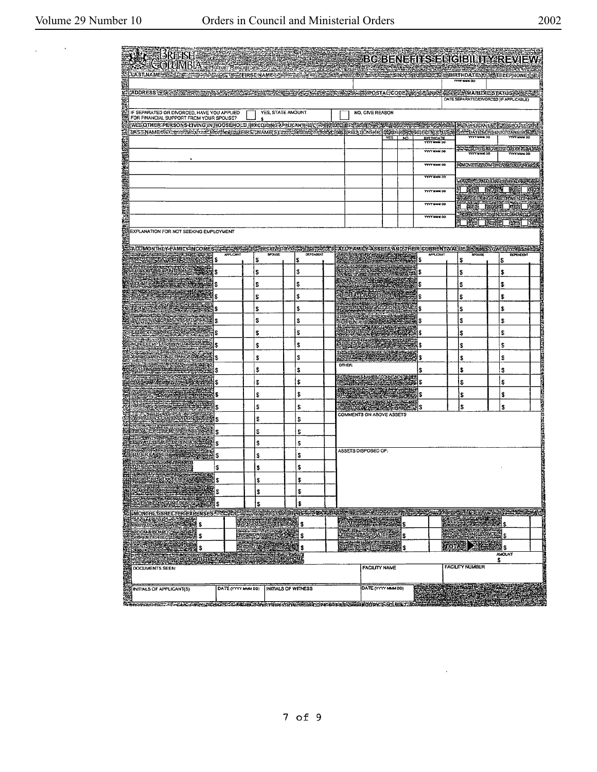$\sim 10^{11}$ 

 $\mathcal{L}_{\text{max}}$  and  $\mathcal{L}_{\text{max}}$ 

 $\sim$ 

 $\bar{\mathcal{L}}$ 

|    | <b>ARTISH MORTIME SERVICE SERVICE SERVICE SERVICE SERVICE SERVICE SERVICE SERVICE SERVICE SERVICE SERVICE SERVICE</b>                                                                                       |                        |          |                     |    |                  |                                                                      |                           |        |                                        | <b>BC BENEFITS ELIGIBILITY REVIEW</b>                                                     |                            |                                                 |
|----|-------------------------------------------------------------------------------------------------------------------------------------------------------------------------------------------------------------|------------------------|----------|---------------------|----|------------------|----------------------------------------------------------------------|---------------------------|--------|----------------------------------------|-------------------------------------------------------------------------------------------|----------------------------|-------------------------------------------------|
|    | LAST NAME SEATER THAT A STATE THAT FIRST NAMES AND THE ASSESSED FOR                                                                                                                                         |                        |          |                     |    |                  |                                                                      |                           |        |                                        | - KONSAS 产品 出会社のおもの SNA SNA SNA SNA SNA BIRTHOATE 新米語 TELEPHONE 金虫<br><b>TYTY MAIN DD</b> |                            |                                                 |
|    | ADDRESS TRANSFER COMMUNICATION                                                                                                                                                                              |                        |          |                     |    |                  |                                                                      |                           |        |                                        | インストルスのメンタルとのことを提案しているのと、このことによりのことを受けることをござえているということを受けている。                              |                            |                                                 |
|    |                                                                                                                                                                                                             |                        |          |                     |    |                  |                                                                      |                           |        |                                        | DATE SEPARATED/DIVORCED (IF APPLICABLE)                                                   |                            |                                                 |
|    | IF SEPARATED OR DIVORCED, HAVE YOU APPLIED<br>FOR FINANCIAL SUPPORT FROM YOUR SPOUSE?                                                                                                                       |                        |          | YES, STATE AMOUNT   |    |                  |                                                                      | NO, GIVE REASON           |        |                                        |                                                                                           |                            |                                                 |
|    | EALEOTHER:PERSONS-LIVING;IN:HOUSEHOLD://Excluding/APgucAnn94&C/AP@MASE#1\$/APA@MASE#2025@ED@MASE@AR<br>LASTMAMERRINGSSPREGI-SHRARINGSFREGHERSTMAME(S) STRENGERFREGHERE ERELATIONSHEI REDEPTRIKE ER KOLUMISH |                        |          |                     |    |                  |                                                                      |                           |        |                                        | <b>MARCLICANTS FRANSPOLSERING</b><br><b>STADATEMOVED TO CANADARIES</b>                    |                            |                                                 |
|    |                                                                                                                                                                                                             |                        |          |                     |    |                  |                                                                      |                           | YES NO | <b>BIRTHDATE</b><br><b>YYYY MMM DO</b> | <b>YYYY MMH 0D</b>                                                                        |                            | <b>YYYYMNM DD</b>                               |
|    |                                                                                                                                                                                                             |                        |          |                     |    |                  |                                                                      |                           |        | <b>VYYY MMM DO</b>                     | YYYY MM DD                                                                                | SDATE MOVED TO BIOLES REES | <b>TYYY HIMM DD</b>                             |
|    |                                                                                                                                                                                                             |                        |          |                     |    |                  |                                                                      |                           |        | <b>TYTY MAM OD</b>                     | <b>EMOVEDIAROM (FROVINCE COUNTRY)</b>                                                     |                            |                                                 |
|    |                                                                                                                                                                                                             |                        |          |                     |    |                  |                                                                      |                           |        | <b>YWY HAM OD</b>                      | <b>SUSTANABIAN OF ERACTION</b>                                                            |                            |                                                 |
|    |                                                                                                                                                                                                             |                        |          |                     |    |                  |                                                                      |                           |        | YVYY MAM DO                            | Rei Nord<br><b>CASEERINGEMPLOYMENT CASE</b>                                               |                            |                                                 |
|    |                                                                                                                                                                                                             |                        |          |                     |    |                  |                                                                      |                           |        | <b>YYYY Musi DD</b>                    |                                                                                           | <b>KS MET RELING</b>       |                                                 |
|    |                                                                                                                                                                                                             |                        |          |                     |    |                  |                                                                      |                           |        | YYYY MMM DO                            | <b>WAREHOBIEDINDER BMDA ATTAC</b><br>r 1                                                  | <b>Kent kei</b>            | - KG                                            |
|    | EXPLANATION FOR NOT SEEKING EMPLOYMENT                                                                                                                                                                      |                        |          |                     |    |                  |                                                                      |                           |        |                                        |                                                                                           |                            |                                                 |
|    | ACCMONTHLY FAMILY INCOMES TRANSPORT TECHNOLOGY TO STATE TO THE                                                                                                                                              |                        |          |                     |    |                  |                                                                      |                           |        |                                        | Allfamily Assets And Their current value <del>in Ceas</del> Cwediby Safe                  |                            |                                                 |
|    | RECIONERAND LANNES                                                                                                                                                                                          | <b>APPLICANT</b><br>\$ | \$       | SPOUSE              | S  | <b>DEPENDENT</b> |                                                                      | SIGNANCE LE LES           |        | APPLICANT<br>S                         | <b>SPOLISE</b><br>s                                                                       | DEPENDENT<br>\$            |                                                 |
|    | SPROGRAMMENTE                                                                                                                                                                                               | \$                     | \$       |                     | \$ |                  |                                                                      |                           |        | 18                                     | \$                                                                                        | \$                         |                                                 |
|    | ASTRONOMIA                                                                                                                                                                                                  | \$                     | \$       |                     | \$ |                  |                                                                      |                           |        | \$                                     | \$                                                                                        | \$                         |                                                 |
|    | <b>SOARDER</b>                                                                                                                                                                                              | \$                     | \$       |                     | \$ |                  |                                                                      |                           |        | \$                                     | \$                                                                                        | \$                         |                                                 |
|    | RAVENSONS - 1745                                                                                                                                                                                            | \$                     | \$       |                     | \$ |                  |                                                                      |                           |        | \$                                     | 5                                                                                         | \$                         |                                                 |
|    | MEREROMPENDSMOTOVES                                                                                                                                                                                         | \$                     | \$       |                     | \$ |                  |                                                                      |                           |        | \$                                     | \$                                                                                        | \$                         |                                                 |
|    | XEVERTRANNG & SACTO                                                                                                                                                                                         | S                      | \$       |                     |    | s                |                                                                      |                           |        | \$                                     | \$                                                                                        | s                          | <b>THREE CARDS AND ARRESTS TO A THREE CARDS</b> |
|    | NON EXEMPLAR NINGER - NE                                                                                                                                                                                    | \$                     | \$       |                     |    | \$               | ne skriven med stad i de skriven.<br>Geskiedene skriven i de skriven |                           |        | S                                      | \$                                                                                        | \$                         |                                                 |
|    | gebied in d                                                                                                                                                                                                 | S                      | \$       |                     |    | S                | <b>OTHER:</b>                                                        | 80 K                      |        | \$                                     | \$                                                                                        | \$                         |                                                 |
|    | water 25                                                                                                                                                                                                    | \$                     | \$       |                     |    | \$<br>\$         |                                                                      | STRING NAMERICOUNT NO. 33 |        | \$<br>ls                               | \$                                                                                        | \$                         |                                                 |
|    | exses a primering<br>Tachanga                                                                                                                                                                               | \$<br>\$               | \$       |                     |    | \$               | 1999 - 1999                                                          |                           |        | \$                                     | S                                                                                         | S<br>\$                    |                                                 |
|    |                                                                                                                                                                                                             | \$                     | \$<br>\$ |                     |    | \$               | <u> TAN BERGE</u>                                                    |                           |        |                                        | \$<br>\$                                                                                  | \$                         |                                                 |
|    |                                                                                                                                                                                                             | \$                     | \$       |                     |    | \$               | COMMENTS ON ABOVE ASSETS                                             |                           |        |                                        |                                                                                           |                            |                                                 |
|    |                                                                                                                                                                                                             | \$                     | s        |                     |    | s                |                                                                      |                           |        |                                        |                                                                                           |                            |                                                 |
|    | kavatek bizantikoarea.<br>Laiva taisana gazteak                                                                                                                                                             | \$                     | \$       |                     |    | \$               |                                                                      |                           |        |                                        |                                                                                           |                            |                                                 |
|    | <u>ALIKA SEKONDOREA (H. 1988).</u><br>INTERESANDEREA (H. 1988).                                                                                                                                             | \$                     | \$       |                     |    | ŝ                | ASSETS DISPOSED OF:                                                  |                           |        |                                        |                                                                                           |                            |                                                 |
|    | OTHER ONE ARMED & CODE                                                                                                                                                                                      |                        |          |                     |    |                  |                                                                      |                           |        |                                        |                                                                                           |                            | <b>PERMIT REPORTS</b>                           |
|    |                                                                                                                                                                                                             |                        |          |                     |    |                  |                                                                      |                           |        |                                        |                                                                                           |                            |                                                 |
|    |                                                                                                                                                                                                             |                        |          |                     |    |                  |                                                                      |                           |        |                                        |                                                                                           |                            |                                                 |
|    |                                                                                                                                                                                                             |                        |          |                     |    |                  |                                                                      |                           |        |                                        |                                                                                           |                            |                                                 |
|    |                                                                                                                                                                                                             |                        |          |                     |    |                  |                                                                      |                           |        |                                        |                                                                                           |                            |                                                 |
|    |                                                                                                                                                                                                             |                        |          |                     |    |                  |                                                                      |                           |        |                                        |                                                                                           |                            |                                                 |
|    |                                                                                                                                                                                                             |                        |          |                     |    |                  |                                                                      |                           |        |                                        |                                                                                           |                            |                                                 |
|    |                                                                                                                                                                                                             |                        |          |                     |    |                  |                                                                      |                           |        |                                        |                                                                                           |                            |                                                 |
|    |                                                                                                                                                                                                             |                        |          |                     |    |                  |                                                                      |                           |        |                                        |                                                                                           |                            |                                                 |
|    |                                                                                                                                                                                                             |                        |          |                     |    |                  |                                                                      |                           |        |                                        |                                                                                           |                            |                                                 |
| 開催 | INITIALS OF APPLICANT(S)                                                                                                                                                                                    | DATE (YYYY MMM DD)     |          | INITIALS OF WITNESS |    |                  |                                                                      | DATE (YYYY MMMDD)         |        |                                        |                                                                                           |                            |                                                 |
|    | T BREADING AND THE LEAD STATE RESERVED BY AN ATTEINMENT AND THE COUNTREST LEADER OF MANUFACTER THE                                                                                                          |                        |          |                     |    |                  |                                                                      |                           |        |                                        |                                                                                           |                            |                                                 |

 $\cdot$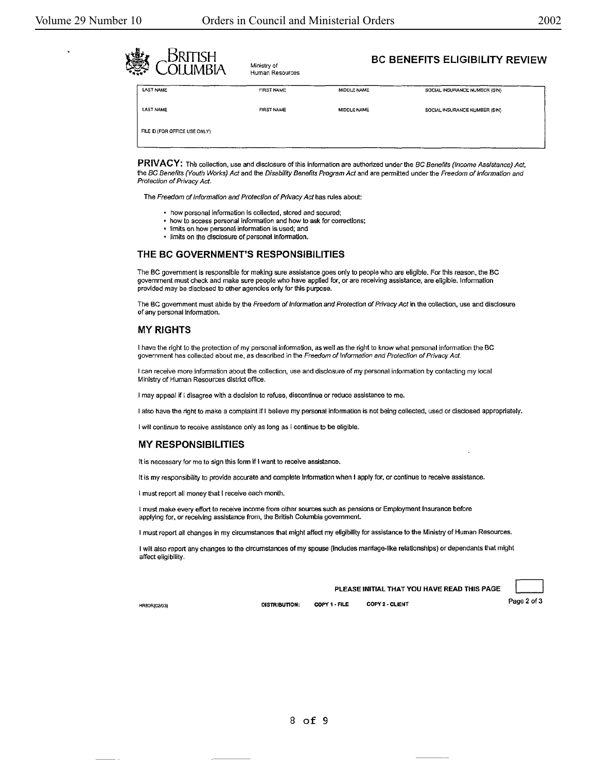| BRITISH<br>yn.<br>Nei<br><b>OLLIMBIA</b> | Ministry of<br>Human Resources |             | <b>BC BENEFITS ELIGIBILITY REVIEW</b> |
|------------------------------------------|--------------------------------|-------------|---------------------------------------|
| LAST NAME                                | <b>FIRST NAME</b>              | MIDDLE NAME | SOCIAL INSURANCE NUMBER (SIN)         |
| LAST NAME                                | <b>FIRST NAME</b>              | MIDDLE NAME | SOCIAL INSURANCE NUMBER (SIN)         |
| FILE ID (FOR OFFICE USE ONLY)            |                                |             |                                       |

PRIVACY: The collection, use and disclosure of this information are authorized under the BC Benefits (Income Assistance) Act, the BC Benefits (Youth Works) Act and the Disability Benefits Program Act and are permitted under the Freedom of Information and Protection of Privacy Act.

The Freedom of Information and Protection of Privacy Act has rules about:

- how personal information Is collected, stored and secured;
- how to access personal information and how to ask for corrections;
- limits on how personal information is used; and
- limits on the disclosure of personal information.

#### THE **BC GOVERNMENT'S RESPONSIBILITIES**

The BC government is responsible for making sure assistance goes only to people who are eligible. For this reason, the BC government must check and make sure people who have applied for, or are receiving assistance, are eligible. lnfonnation provided may be disclosed to other agencies only for this purpose.

The BC government must abide by the Freedom of Information and Protection of Privacy Act in the collection, use and disclosure of any personal information.

#### **MY RIGHTS**

I have the right to the protection of my personal information, as well as the right to know what personal information the BC government has collected about me, as described in the Freedom of Information and Protection of Privacy Act.

I can receive more information about the collection, use and disclosure of my personal information by contacting my local Ministry of Human Resources district office.

I may appeal if I disagree with a decision to refuse, discontinue or reduce assistance to me.

I also have the right to make a complaint if I oelieve my personal information is not being collected. used or disclosed appropriately.

I will continue to receive assistance only as long as I continue to be eligible.

#### **MY RESPONSIBILITIES**

It is necessary for me to sign this form if I want to receive assistance.

It is my responsibility to provide accurate and complete information when I apply for, or continue to receive assistance.

I must report all money that I receive each month.

I must make every effort to receive income from other sources such as pensions or Employment Insurance before applying for, or receiving assistance from, the British Columbia government.

I must report all changes in my circumstances that might affect my eligibility for assistance to the Ministry of Human Resources.

I wilt also report any changes to the circumstances of my spouse (includes marriage-like relationships) or dependants that might affect eligibility.

PLEASE INITIAL THAT YOU HAVE READ THIS PAGE<br>DISTRIBUTION: COPY 1 - FILE COPY 2 - CLIENT Page 2 of 3